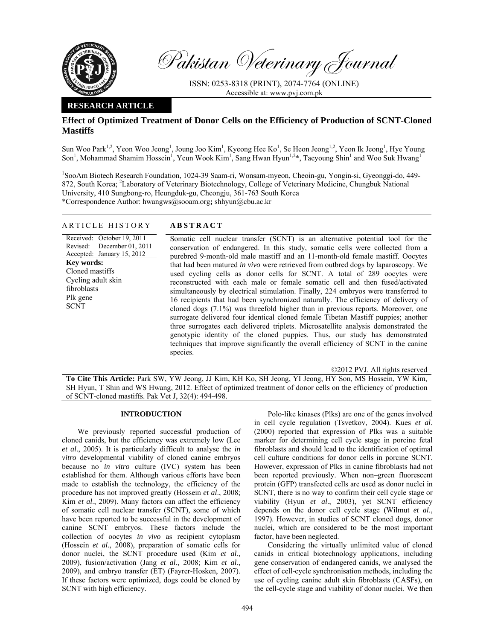

Pakistan Veterinary Journal

ISSN: 0253-8318 (PRINT), 2074-7764 (ONLINE) Accessible at: www.pvj.com.pk

## **RESEARCH ARTICLE**

# **Effect of Optimized Treatment of Donor Cells on the Efficiency of Production of SCNT-Cloned Mastiffs**

Sun Woo Park<sup>1,2</sup>, Yeon Woo Jeong<sup>1</sup>, Joung Joo Kim<sup>1</sup>, Kyeong Hee Ko<sup>1</sup>, Se Heon Jeong<sup>1,2</sup>, Yeon Ik Jeong<sup>1</sup>, Hye Young Son<sup>1</sup>, Mohammad Shamim Hossein<sup>1</sup>, Yeun Wook Kim<sup>1</sup>, Sang Hwan Hyun<sup>1,2\*</sup>, Taeyoung Shin<sup>1</sup> and Woo Suk Hwang<sup>1</sup>

<sup>1</sup>SooAm Biotech Research Foundation, 1024-39 Saam-ri, Wonsam-myeon, Cheoin-gu, Yongin-si, Gyeonggi-do, 449-872, South Korea; <sup>2</sup>Laboratory of Veterinary Biotechnology, College of Veterinary Medicine, Chungbuk National University, 410 Sungbong-ro, Heungduk-gu, Cheongju, 361-763 South Korea \*Correspondence Author: hwangws@sooam.org**;** shhyun@cbu.ac.kr

## ARTICLE HISTORY **ABSTRACT**

Received: October 19, 2011 Revised: December 01, 2011 Accepted: January 15, 2012 **Key words:**  Cloned mastiffs Cycling adult skin fibroblasts Plk gene SCNT

Somatic cell nuclear transfer (SCNT) is an alternative potential tool for the conservation of endangered. In this study, somatic cells were collected from a purebred 9-month-old male mastiff and an 11-month-old female mastiff. Oocytes that had been matured *in vivo* were retrieved from outbred dogs by laparoscopy. We used cycling cells as donor cells for SCNT. A total of 289 oocytes were reconstructed with each male or female somatic cell and then fused/activated simultaneously by electrical stimulation. Finally, 224 embryos were transferred to 16 recipients that had been synchronized naturally. The efficiency of delivery of cloned dogs (7.1%) was threefold higher than in previous reports. Moreover, one surrogate delivered four identical cloned female Tibetan Mastiff puppies; another three surrogates each delivered triplets. Microsatellite analysis demonstrated the genotypic identity of the cloned puppies. Thus, our study has demonstrated techniques that improve significantly the overall efficiency of SCNT in the canine species.

©2012 PVJ. All rights reserved

**To Cite This Article:** Park SW, YW Jeong, JJ Kim, KH Ko, SH Jeong, YI Jeong, HY Son, MS Hossein, YW Kim, SH Hyun, T Shin and WS Hwang, 2012. Effect of optimized treatment of donor cells on the efficiency of production of SCNT-cloned mastiffs. Pak Vet J, 32(4): 494-498.

## **INTRODUCTION**

 We previously reported successful production of cloned canids, but the efficiency was extremely low (Lee *et al*., 2005). It is particularly difficult to analyse the *in vitro* developmental viability of cloned canine embryos because no *in vitro* culture (IVC) system has been established for them. Although various efforts have been made to establish the technology, the efficiency of the procedure has not improved greatly (Hossein *et al*., 2008; Kim *et al*., 2009). Many factors can affect the efficiency of somatic cell nuclear transfer (SCNT), some of which have been reported to be successful in the development of canine SCNT embryos. These factors include the collection of oocytes *in vivo* as recipient cytoplasm (Hossein *et al*., 2008), preparation of somatic cells for donor nuclei, the SCNT procedure used (Kim *et al*., 2009), fusion/activation (Jang *et al*., 2008; Kim *et al*., 2009), and embryo transfer (ET) (Fayrer-Hosken, 2007). If these factors were optimized, dogs could be cloned by SCNT with high efficiency.

Polo-like kinases (Plks) are one of the genes involved in cell cycle regulation (Tsvetkov, 2004). Kues *et al*. (2000) reported that expression of Plks was a suitable marker for determining cell cycle stage in porcine fetal fibroblasts and should lead to the identification of optimal cell culture conditions for donor cells in porcine SCNT. However, expression of Plks in canine fibroblasts had not been reported previously. When non–green fluorescent protein (GFP) transfected cells are used as donor nuclei in SCNT, there is no way to confirm their cell cycle stage or viability (Hyun *et al*., 2003), yet SCNT efficiency depends on the donor cell cycle stage (Wilmut *et al*., 1997). However, in studies of SCNT cloned dogs, donor nuclei, which are considered to be the most important factor, have been neglected.

Considering the virtually unlimited value of cloned canids in critical biotechnology applications, including gene conservation of endangered canids, we analysed the effect of cell-cycle synchronisation methods, including the use of cycling canine adult skin fibroblasts (CASFs), on the cell-cycle stage and viability of donor nuclei. We then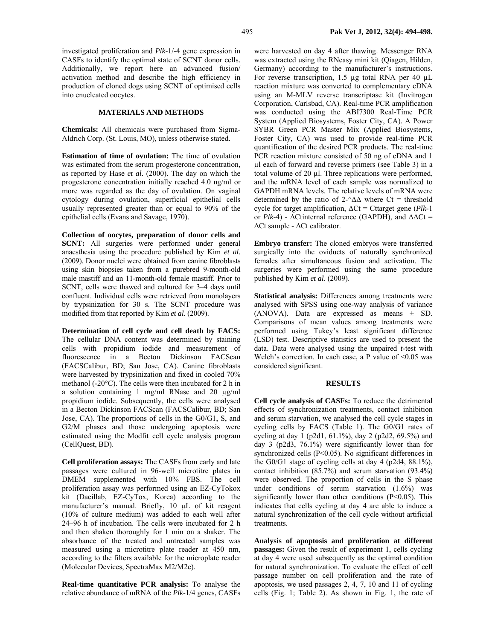investigated proliferation and *Plk*-1/-4 gene expression in CASFs to identify the optimal state of SCNT donor cells. Additionally, we report here an advanced fusion/ activation method and describe the high efficiency in production of cloned dogs using SCNT of optimised cells into enucleated oocytes.

## **MATERIALS AND METHODS**

**Chemicals:** All chemicals were purchased from Sigma-Aldrich Corp. (St. Louis, MO), unless otherwise stated.

**Estimation of time of ovulation:** The time of ovulation was estimated from the serum progesterone concentration, as reported by Hase *et al*. (2000). The day on which the progesterone concentration initially reached 4.0 ng/ml or more was regarded as the day of ovulation. On vaginal cytology during ovulation, superficial epithelial cells usually represented greater than or equal to 90% of the epithelial cells (Evans and Savage, 1970).

**Collection of oocytes, preparation of donor cells and SCNT:** All surgeries were performed under general anaesthesia using the procedure published by Kim *et al*. (2009). Donor nuclei were obtained from canine fibroblasts using skin biopsies taken from a purebred 9-month-old male mastiff and an 11-month-old female mastiff. Prior to SCNT, cells were thawed and cultured for 3–4 days until confluent. Individual cells were retrieved from monolayers by trypsinization for 30 s. The SCNT procedure was modified from that reported by Kim *et al*. (2009).

**Determination of cell cycle and cell death by FACS:**  The cellular DNA content was determined by staining cells with propidium iodide and measurement of fluorescence in a Becton Dickinson FACScan (FACSCalibur, BD; San Jose, CA). Canine fibroblasts were harvested by trypsinization and fixed in cooled 70% methanol (-20°C). The cells were then incubated for 2 h in a solution containing 1 mg/ml RNase and 20 µg/ml propidium iodide. Subsequently, the cells were analysed in a Becton Dickinson FACScan (FACSCalibur, BD; San Jose, CA). The proportions of cells in the G0/G1, S, and G2/M phases and those undergoing apoptosis were estimated using the Modfit cell cycle analysis program (CellQuest, BD).

**Cell proliferation assays:** The CASFs from early and late passages were cultured in 96-well microtitre plates in DMEM supplemented with 10% FBS. The cell proliferation assay was performed using an EZ-CyTokox kit (Daeillab, EZ-CyTox, Korea) according to the manufacturer's manual. Briefly, 10 µL of kit reagent (10% of culture medium) was added to each well after 24–96 h of incubation. The cells were incubated for 2 h and then shaken thoroughly for 1 min on a shaker. The absorbance of the treated and untreated samples was measured using a microtitre plate reader at 450 nm, according to the filters available for the microplate reader (Molecular Devices, SpectraMax M2/M2e).

**Real-time quantitative PCR analysis:** To analyse the relative abundance of mRNA of the *Plk*-1/4 genes, CASFs were harvested on day 4 after thawing. Messenger RNA was extracted using the RNeasy mini kit (Qiagen, Hilden, Germany) according to the manufacturer's instructions. For reverse transcription, 1.5 µg total RNA per 40 µL reaction mixture was converted to complementary cDNA using an M-MLV reverse transcriptase kit (Invitrogen Corporation, Carlsbad, CA). Real-time PCR amplification was conducted using the ABI7300 Real-Time PCR System (Applied Biosystems, Foster City, CA). A Power SYBR Green PCR Master Mix (Applied Biosystems, Foster City, CA) was used to provide real-time PCR quantification of the desired PCR products. The real-time PCR reaction mixture consisted of 50 ng of cDNA and 1 µl each of forward and reverse primers (see Table 3) in a total volume of 20 µl. Three replications were performed, and the mRNA level of each sample was normalized to GAPDH mRNA levels. The relative levels of mRNA were determined by the ratio of 2- $\triangle \Delta \Delta$  where Ct = threshold cycle for target amplification, ∆Ct = Cttarget gene (*Plk-*1 or *Plk*-4) - ∆Ctinternal reference (GAPDH), and ∆∆Ct = ∆Ct sample - ∆Ct calibrator.

**Embryo transfer:** The cloned embryos were transferred surgically into the oviducts of naturally synchronized females after simultaneous fusion and activation. The surgeries were performed using the same procedure published by Kim *et al*. (2009).

**Statistical analysis:** Differences among treatments were analysed with SPSS using one-way analysis of variance  $(ANOVA)$ . Data are expressed as means  $\pm$  SD. Comparisons of mean values among treatments were performed using Tukey's least significant difference (LSD) test. Descriptive statistics are used to present the data. Data were analysed using the unpaired *t*-test with Welch's correction. In each case, a P value of  $\leq 0.05$  was considered significant.

#### **RESULTS**

**Cell cycle analysis of CASFs:** To reduce the detrimental effects of synchronization treatments, contact inhibition and serum starvation, we analysed the cell cycle stages in cycling cells by FACS (Table 1). The G0/G1 rates of cycling at day 1 (p2d1, 61.1%), day 2 (p2d2, 69.5%) and day 3 (p2d3, 76.1%) were significantly lower than for synchronized cells (P<0.05). No significant differences in the G0/G1 stage of cycling cells at day 4 (p2d4, 88.1%), contact inhibition (85.7%) and serum starvation (93.4%) were observed. The proportion of cells in the S phase under conditions of serum starvation (1.6%) was significantly lower than other conditions (P<0.05). This indicates that cells cycling at day 4 are able to induce a natural synchronization of the cell cycle without artificial treatments.

**Analysis of apoptosis and proliferation at different passages:** Given the result of experiment 1, cells cycling at day 4 were used subsequently as the optimal condition for natural synchronization. To evaluate the effect of cell passage number on cell proliferation and the rate of apoptosis, we used passages 2, 4, 7, 10 and 11 of cycling cells (Fig. 1; Table 2). As shown in Fig. 1, the rate of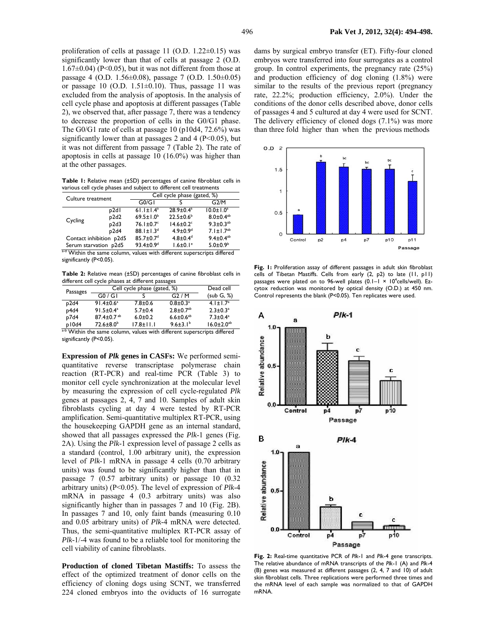proliferation of cells at passage 11 (O.D. 1.22±0.15) was significantly lower than that of cells at passage 2 (O.D.  $1.67\pm0.04$ ) (P<0.05), but it was not different from those at passage 4 (O.D. 1.56±0.08), passage 7 (O.D. 1.50±0.05) or passage 10 (O.D.  $1.51\pm0.10$ ). Thus, passage 11 was excluded from the analysis of apoptosis. In the analysis of cell cycle phase and apoptosis at different passages (Table 2), we observed that, after passage 7, there was a tendency to decrease the proportion of cells in the G0/G1 phase. The G0/G1 rate of cells at passage 10 (p10d4, 72.6%) was significantly lower than at passages 2 and 4 ( $P<0.05$ ), but it was not different from passage 7 (Table 2). The rate of apoptosis in cells at passage 10 (16.0%) was higher than at the other passages.

**Table 1:** Relative mean (±SD) percentages of canine fibroblast cells in various cell cycle phases and subject to different cell treatments

| Culture treatment                                                                                                                               |                   | Cell cycle phase (gated, %) |                             |                             |  |
|-------------------------------------------------------------------------------------------------------------------------------------------------|-------------------|-----------------------------|-----------------------------|-----------------------------|--|
|                                                                                                                                                 |                   | G0/G1                       |                             | G2/M                        |  |
| Cycling                                                                                                                                         | p <sub>2d</sub>   | $61.1 \pm 1.4$ <sup>a</sup> | $28.9 \pm 0.4^a$            | $10.0 \pm 1.0^a$            |  |
|                                                                                                                                                 | p2d2              | $69.5 \pm 1.0^b$            | $22.5 \pm 0.6^b$            | $8.0 \pm 0.4$ <sup>ab</sup> |  |
|                                                                                                                                                 | p <sub>2d</sub> 3 | $76.1 \pm 0.7$ °            | $14.6 \pm 0.2$ <sup>c</sup> | $9.3 \pm 0.3^{ab}$          |  |
|                                                                                                                                                 | p2d4              | $88.1 \pm 1.3^{d}$          | $4.9 \pm 0.9$ <sup>d</sup>  | $7.1 \pm 1.7^{ab}$          |  |
| Contact inhibition p2d5                                                                                                                         |                   | $85.7 \pm 0.7$ <sup>d</sup> | $4.8 \pm 0.4^d$             | $9.4 \pm 0.4^{ab}$          |  |
| Serum starvation p2d5                                                                                                                           |                   | $93.4 \pm 0.9$ <sup>d</sup> | $1.6 \pm 0.1$ <sup>e</sup>  | $5.0 \pm 0.9^b$             |  |
| $2d$ Matrix the concentration<br>and the control of the state of the control of the control of the control of the control of the control of the |                   |                             |                             |                             |  |

Within the same column, values with different superscripts differed significantly (P<0.05).

**Table 2:** Relative mean (±SD) percentages of canine fibroblast cells in different cell cycle phases at different passages

| Passages                                                                | Cell cycle phase (gated, %)  | Dead cell       |                             |                              |  |  |
|-------------------------------------------------------------------------|------------------------------|-----------------|-----------------------------|------------------------------|--|--|
|                                                                         | G0/GI                        |                 | G2/M                        | (sub G, %                    |  |  |
| p2d4                                                                    | $91.4 \pm 0.6^a$             | $7.8 + 0.6$     | $0.8 \pm 0.3^{\circ}$       | $4.1 \pm 1.7$ <sup>a</sup>   |  |  |
| p4d4                                                                    | $91.5 \pm 0.4^a$             | $5.7 \pm 0.4$   | $2.8 \pm 0.7$ <sup>ab</sup> | $2.3 \pm 0.3^a$              |  |  |
| p7d4                                                                    | $87.4 \pm 0.7$ <sup>ab</sup> | $6.0 + 0.2$     | $6.6 \pm 0.6^{ab}$          | $7.3 \pm 0.4^a$              |  |  |
| p10d4                                                                   | $72.6 \pm 8.0^b$             | $17.8 \pm 11.1$ | $9.6 \pm 3.1^b$             | $16.0 \pm 2.0$ <sup>ab</sup> |  |  |
| a-b Within the same column, values with different superscripts differed |                              |                 |                             |                              |  |  |

significantly (P<0.05).

**Expression of** *Plk* **genes in CASFs:** We performed semiquantitative reverse transcriptase polymerase chain reaction (RT-PCR) and real-time PCR (Table 3) to monitor cell cycle synchronization at the molecular level by measuring the expression of cell cycle-regulated *Plk*  genes at passages 2, 4, 7 and 10. Samples of adult skin fibroblasts cycling at day 4 were tested by RT-PCR amplification. Semi-quantitative multiplex RT-PCR, using the housekeeping GAPDH gene as an internal standard, showed that all passages expressed the *Plk*-1 genes (Fig. 2A). Using the *Plk*-1 expression level of passage 2 cells as a standard (control, 1.00 arbitrary unit), the expression level of *Plk*-1 mRNA in passage 4 cells (0.70 arbitrary units) was found to be significantly higher than that in passage 7 (0.57 arbitrary units) or passage 10 (0.32 arbitrary units) (P<0.05). The level of expression of *Plk*-4 mRNA in passage 4 (0.3 arbitrary units) was also significantly higher than in passages 7 and 10 (Fig. 2B). In passages 7 and 10, only faint bands (measuring 0.10 and 0.05 arbitrary units) of *Plk-*4 mRNA were detected. Thus, the semi-quantitative multiplex RT-PCR assay of *Plk-*1/-4 was found to be a reliable tool for monitoring the cell viability of canine fibroblasts.

**Production of cloned Tibetan Mastiffs:** To assess the effect of the optimized treatment of donor cells on the efficiency of cloning dogs using SCNT, we transferred 224 cloned embryos into the oviducts of 16 surrogate

dams by surgical embryo transfer (ET). Fifty-four cloned embryos were transferred into four surrogates as a control group. In control experiments, the pregnancy rate (25%) and production efficiency of dog cloning (1.8%) were similar to the results of the previous report (pregnancy rate, 22.2%; production efficiency, 2.0%). Under the conditions of the donor cells described above, donor cells of passages 4 and 5 cultured at day 4 were used for SCNT. The delivery efficiency of cloned dogs (7.1%) was more than three fold higher than when the previous methods



Fig. 1: Proliferation assay of different passages in adult skin fibroblast cells of Tibetan Mastiffs. Cells from early (2, p2) to late (11, p11) passages were plated on to 96-well plates (0.1–1 × 10<sup>4</sup>cells/well). Ezcytox reduction was monitored by optical density (O.D.) at 450 nm. Control represents the blank (P<0.05). Ten replicates were used.



**Fig. 2:** Real-time quantitative PCR of *Plk*-1 and *Plk*-4 gene transcripts. The relative abundance of mRNA transcripts of the *Plk*-1 (A) and *Plk*-4 (B) genes was measured at different passages (2, 4, 7 and 10) of adult skin fibroblast cells. Three replications were performed three times and the mRNA level of each sample was normalized to that of GAPDH mRNA.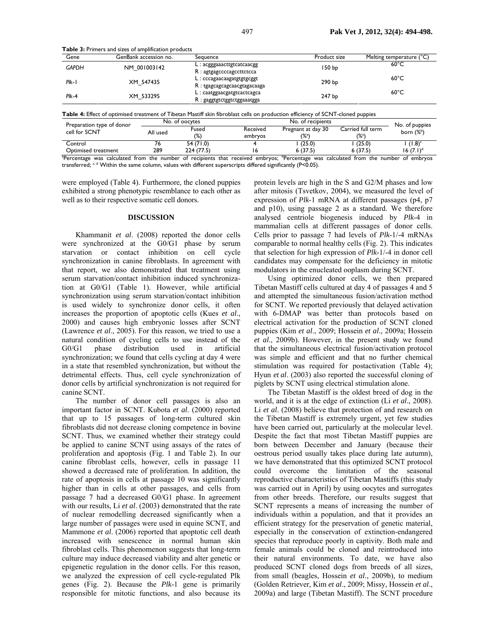|              |              | Sequence                                                                                          | Product size      | Melting temperature (°C) |
|--------------|--------------|---------------------------------------------------------------------------------------------------|-------------------|--------------------------|
| <b>GAPDH</b> | NM 001003142 | $L: \text{acgggaacftgtcataacgg}$                                                                  | 150 <sub>bp</sub> | $60^{\circ}$ C           |
| $PIk-I$      | XM 547435    | $R:$ agtgagecccagectteteca<br>$L:$ $cc$ ccagaacaagat gtg tgcgg t<br>$R:$ tgagcagcagcaacgtagacaaga | 290 <sub>bp</sub> | $60^{\circ}$ C           |
| $Plk-4$      | XM 533295    | $L:$ caatggaacgatgtcactcagca<br>$R:$ gaggtgtctggtctggaaatgga                                      | 247 bp            | $60^{\circ}$ C           |

**Table 3:** Primers and sizes of amplification products

 $\begin{array}{ccc}\n\text{cell for SCNT} \\
\text{cell for SCNT}\n\end{array}$  All used  $\begin{array}{ccc}\n\text{Fused} \\
\text{C}\n\end{array}$ (%) embryos  $(\%)^a$  $(\%)^a$ born (%<sup>b</sup>) Control 76 54 (71.0) 4 1 (25.0) 1 (25.0) 1 (1.8)<sup>c</sup> Optimised treatment 289 224 (77.5) 16 6 (37.5) 6 (37.5) 16 (7.1)<sup>d</sup> <sup>a</sup>Percentage was calculated from the number of recipients that received embryos; <sup>b</sup>Percentage was calculated from the number of embryos

transferred; c, d Within the same column, values with different superscripts differed significantly (P<0.05).

were employed (Table 4). Furthermore, the cloned puppies exhibited a strong phenotypic resemblance to each other as well as to their respective somatic cell donors.

#### **DISCUSSION**

Khammanit *et al*. (2008) reported the donor cells were synchronized at the G0/G1 phase by serum starvation or contact inhibition on cell cycle synchronization in canine fibroblasts. In agreement with that report, we also demonstrated that treatment using serum starvation/contact inhibition induced synchronization at G0/G1 (Table 1). However, while artificial synchronization using serum starvation/contact inhibition is used widely to synchronize donor cells, it often increases the proportion of apoptotic cells (Kues *et al*., 2000) and causes high embryonic losses after SCNT (Lawrence *et al*., 2005). For this reason, we tried to use a natural condition of cycling cells to use instead of the G0/G1 phase distribution used in artificial synchronization; we found that cells cycling at day 4 were in a state that resembled synchronization, but without the detrimental effects. Thus, cell cycle synchronization of donor cells by artificial synchronization is not required for canine SCNT.

The number of donor cell passages is also an important factor in SCNT. Kubota *et al*. (2000) reported that up to 15 passages of long-term cultured skin fibroblasts did not decrease cloning competence in bovine SCNT. Thus, we examined whether their strategy could be applied to canine SCNT using assays of the rates of proliferation and apoptosis (Fig. 1 and Table 2). In our canine fibroblast cells, however, cells in passage 11 showed a decreased rate of proliferation. In addition, the rate of apoptosis in cells at passage 10 was significantly higher than in cells at other passages, and cells from passage 7 had a decreased G0/G1 phase. In agreement with our results, Li *et al*. (2003) demonstrated that the rate of nuclear remodelling decreased significantly when a large number of passages were used in equine SCNT, and Mammone *et al*. (2006) reported that apoptotic cell death increased with senescence in normal human skin fibroblast cells. This phenomenon suggests that long-term culture may induce decreased viability and alter genetic or epigenetic regulation in the donor cells. For this reason, we analyzed the expression of cell cycle-regulated Plk genes (Fig. 2). Because the *Plk*-1 gene is primarily responsible for mitotic functions, and also because its

protein levels are high in the S and G2/M phases and low after mitosis (Tsvetkov, 2004), we measured the level of expression of *Plk*-1 mRNA at different passages (p4, p7 and p10), using passage 2 as a standard. We therefore analysed centriole biogenesis induced by *Plk*-4 in mammalian cells at different passages of donor cells. Cells prior to passage 7 had levels of *Plk*-1/-4 mRNAs comparable to normal healthy cells (Fig. 2). This indicates that selection for high expression of *Plk*-1/-4 in donor cell candidates may compensate for the deficiency in mitotic modulators in the enucleated ooplasm during SCNT.

Using optimized donor cells, we then prepared Tibetan Mastiff cells cultured at day 4 of passages 4 and 5 and attempted the simultaneous fusion/activation method for SCNT. We reported previously that delayed activation with 6-DMAP was better than protocols based on electrical activation for the production of SCNT cloned puppies (Kim *et al*., 2009; Hossein *et al*., 2009a; Hossein *et al*., 2009b). However, in the present study we found that the simultaneous electrical fusion/activation protocol was simple and efficient and that no further chemical stimulation was required for postactivation (Table 4); Hyun *et al*. (2003) also reported the successful cloning of piglets by SCNT using electrical stimulation alone.

The Tibetan Mastiff is the oldest breed of dog in the world, and it is at the edge of extinction (Li *et al*., 2008). Li *et al*. (2008) believe that protection of and research on the Tibetan Mastiff is extremely urgent, yet few studies have been carried out, particularly at the molecular level. Despite the fact that most Tibetan Mastiff puppies are born between December and January (because their oestrous period usually takes place during late autumn), we have demonstrated that this optimized SCNT protocol could overcome the limitation of the seasonal reproductive characteristics of Tibetan Mastiffs (this study was carried out in April) by using oocytes and surrogates from other breeds. Therefore, our results suggest that SCNT represents a means of increasing the number of individuals within a population, and that it provides an efficient strategy for the preservation of genetic material, especially in the conservation of extinction-endangered species that reproduce poorly in captivity. Both male and female animals could be cloned and reintroduced into their natural environments. To date, we have also produced SCNT cloned dogs from breeds of all sizes, from small (beagles, Hossein *et al*., 2009b), to medium (Golden Retriever, Kim *et al*., 2009; Missy, Hossein *et al*., 2009a) and large (Tibetan Mastiff). The SCNT procedure